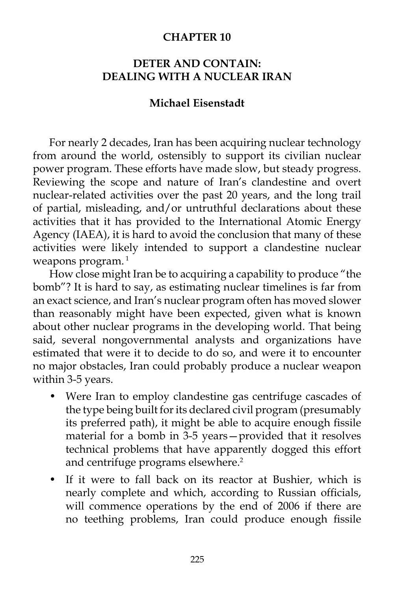### **CHAPTER 10**

## **DETER AND CONTAIN: DEALING WITH A NUCLEAR IRAN**

### **Michael Eisenstadt**

 For nearly 2 decades, Iran has been acquiring nuclear technology from around the world, ostensibly to support its civilian nuclear power program. These efforts have made slow, but steady progress. Reviewing the scope and nature of Iran's clandestine and overt nuclear-related activities over the past 20 years, and the long trail of partial, misleading, and/or untruthful declarations about these activities that it has provided to the International Atomic Energy Agency (IAEA), it is hard to avoid the conclusion that many of these activities were likely intended to support a clandestine nuclear weapons program.<sup>1</sup>

 How close might Iran be to acquiring a capability to produce "the bomb"? It is hard to say, as estimating nuclear timelines is far from an exact science, and Iran's nuclear program often has moved slower than reasonably might have been expected, given what is known about other nuclear programs in the developing world. That being said, several nongovernmental analysts and organizations have estimated that were it to decide to do so, and were it to encounter no major obstacles, Iran could probably produce a nuclear weapon within 3-5 years.

- Were Iran to employ clandestine gas centrifuge cascades of the type being built for its declared civil program (presumably its preferred path), it might be able to acquire enough fissile material for a bomb in 3-5 years—provided that it resolves technical problems that have apparently dogged this effort and centrifuge programs elsewhere.<sup>2</sup>
- If it were to fall back on its reactor at Bushier, which is nearly complete and which, according to Russian officials, will commence operations by the end of 2006 if there are no teething problems, Iran could produce enough fissile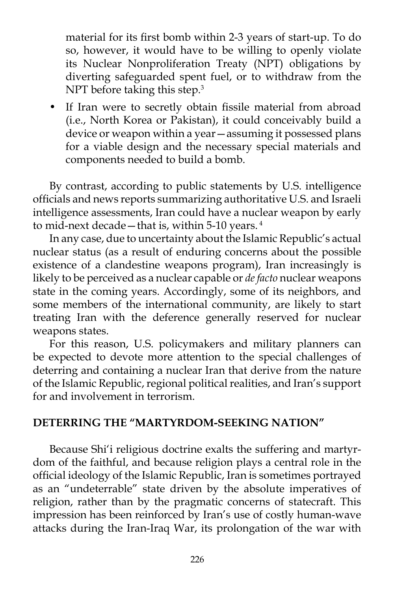material for its first bomb within 2-3 years of start-up. To do so, however, it would have to be willing to openly violate its Nuclear Nonproliferation Treaty (NPT) obligations by diverting safeguarded spent fuel, or to withdraw from the NPT before taking this step.<sup>3</sup>

 • If Iran were to secretly obtain fissile material from abroad (i.e., North Korea or Pakistan), it could conceivably build a device or weapon within a year—assuming it possessed plans for a viable design and the necessary special materials and components needed to build a bomb.

 By contrast, according to public statements by U.S. intelligence officials and news reports summarizing authoritative U.S. and Israeli intelligence assessments, Iran could have a nuclear weapon by early to mid-next decade—that is, within 5-10 years. 4

 In any case, due to uncertainty about the Islamic Republic's actual nuclear status (as a result of enduring concerns about the possible existence of a clandestine weapons program), Iran increasingly is likely to be perceived as a nuclear capable or *de facto* nuclear weapons state in the coming years. Accordingly, some of its neighbors, and some members of the international community, are likely to start treating Iran with the deference generally reserved for nuclear weapons states.

 For this reason, U.S. policymakers and military planners can be expected to devote more attention to the special challenges of deterring and containing a nuclear Iran that derive from the nature of the Islamic Republic, regional political realities, and Iran's support for and involvement in terrorism.

## **DETERRING THE "MARTYRDOM-SEEKING NATION"**

 Because Shi'i religious doctrine exalts the suffering and martyrdom of the faithful, and because religion plays a central role in the official ideology of the Islamic Republic, Iran is sometimes portrayed as an "undeterrable" state driven by the absolute imperatives of religion, rather than by the pragmatic concerns of statecraft. This impression has been reinforced by Iran's use of costly human-wave attacks during the Iran-Iraq War, its prolongation of the war with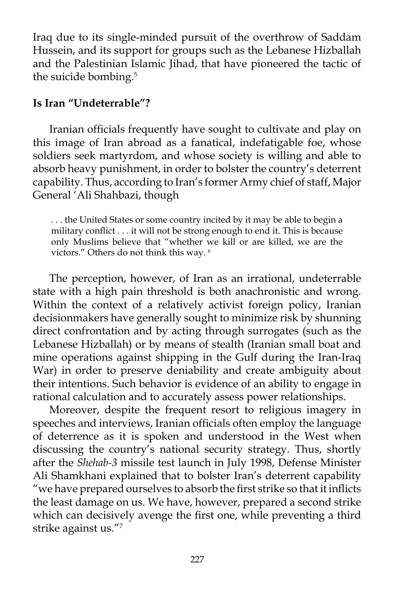Iraq due to its single-minded pursuit of the overthrow of Saddam Hussein, and its support for groups such as the Lebanese Hizballah and the Palestinian Islamic Jihad, that have pioneered the tactic of the suicide bombing.<sup>5</sup>

## **Is Iran "Undeterrable"?**

 Iranian officials frequently have sought to cultivate and play on this image of Iran abroad as a fanatical, indefatigable foe, whose soldiers seek martyrdom, and whose society is willing and able to absorb heavy punishment, in order to bolster the country's deterrent capability. Thus, according to Iran's former Army chief of staff, Major General 'Ali Shahbazi, though

. . . the United States or some country incited by it may be able to begin a military conflict . . . it will not be strong enough to end it. This is because only Muslims believe that "whether we kill or are killed, we are the victors." Others do not think this way. 6

 The perception, however, of Iran as an irrational, undeterrable state with a high pain threshold is both anachronistic and wrong. Within the context of a relatively activist foreign policy, Iranian decisionmakers have generally sought to minimize risk by shunning direct confrontation and by acting through surrogates (such as the Lebanese Hizballah) or by means of stealth (Iranian small boat and mine operations against shipping in the Gulf during the Iran-Iraq War) in order to preserve deniability and create ambiguity about their intentions. Such behavior is evidence of an ability to engage in rational calculation and to accurately assess power relationships.

 Moreover, despite the frequent resort to religious imagery in speeches and interviews, Iranian officials often employ the language of deterrence as it is spoken and understood in the West when discussing the country's national security strategy. Thus, shortly after the *Shehab-3* missile test launch in July 1998, Defense Minister Ali Shamkhani explained that to bolster Iran's deterrent capability "we have prepared ourselves to absorb the first strike so that it inflicts the least damage on us. We have, however, prepared a second strike which can decisively avenge the first one, while preventing a third strike against us."7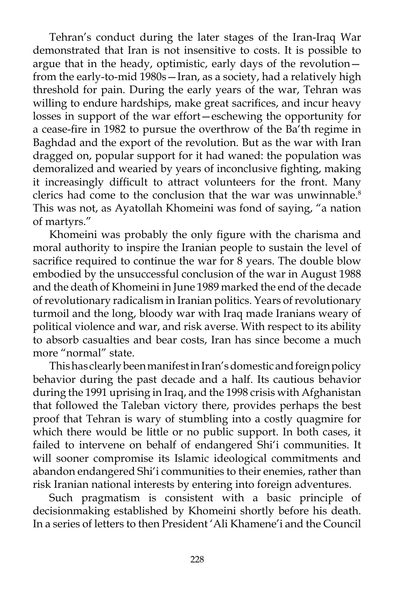Tehran's conduct during the later stages of the Iran-Iraq War demonstrated that Iran is not insensitive to costs. It is possible to argue that in the heady, optimistic, early days of the revolution from the early-to-mid 1980s—Iran, as a society, had a relatively high threshold for pain. During the early years of the war, Tehran was willing to endure hardships, make great sacrifices, and incur heavy losses in support of the war effort—eschewing the opportunity for a cease-fire in 1982 to pursue the overthrow of the Ba'th regime in Baghdad and the export of the revolution. But as the war with Iran dragged on, popular support for it had waned: the population was demoralized and wearied by years of inconclusive fighting, making it increasingly difficult to attract volunteers for the front. Many clerics had come to the conclusion that the war was unwinnable.<sup>8</sup> This was not, as Ayatollah Khomeini was fond of saying, "a nation of martyrs."

 Khomeini was probably the only figure with the charisma and moral authority to inspire the Iranian people to sustain the level of sacrifice required to continue the war for 8 years. The double blow embodied by the unsuccessful conclusion of the war in August 1988 and the death of Khomeini in June 1989 marked the end of the decade of revolutionary radicalism in Iranian politics. Years of revolutionary turmoil and the long, bloody war with Iraq made Iranians weary of political violence and war, and risk averse. With respect to its ability to absorb casualties and bear costs, Iran has since become a much more "normal" state.

 This has clearly been manifest in Iran's domestic and foreign policy behavior during the past decade and a half. Its cautious behavior during the 1991 uprising in Iraq, and the 1998 crisis with Afghanistan that followed the Taleban victory there, provides perhaps the best proof that Tehran is wary of stumbling into a costly quagmire for which there would be little or no public support. In both cases, it failed to intervene on behalf of endangered Shi'i communities. It will sooner compromise its Islamic ideological commitments and abandon endangered Shi'i communities to their enemies, rather than risk Iranian national interests by entering into foreign adventures.

 Such pragmatism is consistent with a basic principle of decisionmaking established by Khomeini shortly before his death. In a series of letters to then President 'Ali Khamene'i and the Council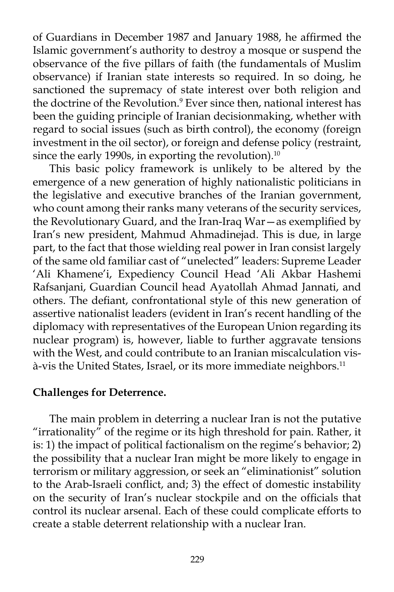of Guardians in December 1987 and January 1988, he affirmed the Islamic government's authority to destroy a mosque or suspend the observance of the five pillars of faith (the fundamentals of Muslim observance) if Iranian state interests so required. In so doing, he sanctioned the supremacy of state interest over both religion and the doctrine of the Revolution.<sup>9</sup> Ever since then, national interest has been the guiding principle of Iranian decisionmaking, whether with regard to social issues (such as birth control), the economy (foreign investment in the oil sector), or foreign and defense policy (restraint, since the early 1990s, in exporting the revolution). $10$ 

 This basic policy framework is unlikely to be altered by the emergence of a new generation of highly nationalistic politicians in the legislative and executive branches of the Iranian government, who count among their ranks many veterans of the security services, the Revolutionary Guard, and the Iran-Iraq War—as exemplified by Iran's new president, Mahmud Ahmadinejad. This is due, in large part, to the fact that those wielding real power in Iran consist largely of the same old familiar cast of "unelected" leaders: Supreme Leader 'Ali Khamene'i, Expediency Council Head 'Ali Akbar Hashemi Rafsanjani, Guardian Council head Ayatollah Ahmad Jannati, and others. The defiant, confrontational style of this new generation of assertive nationalist leaders (evident in Iran's recent handling of the diplomacy with representatives of the European Union regarding its nuclear program) is, however, liable to further aggravate tensions with the West, and could contribute to an Iranian miscalculation visà-vis the United States, Israel, or its more immediate neighbors.11

## **Challenges for Deterrence.**

 The main problem in deterring a nuclear Iran is not the putative "irrationality" of the regime or its high threshold for pain. Rather, it is: 1) the impact of political factionalism on the regime's behavior; 2) the possibility that a nuclear Iran might be more likely to engage in terrorism or military aggression, or seek an "eliminationist" solution to the Arab-Israeli conflict, and; 3) the effect of domestic instability on the security of Iran's nuclear stockpile and on the officials that control its nuclear arsenal. Each of these could complicate efforts to create a stable deterrent relationship with a nuclear Iran.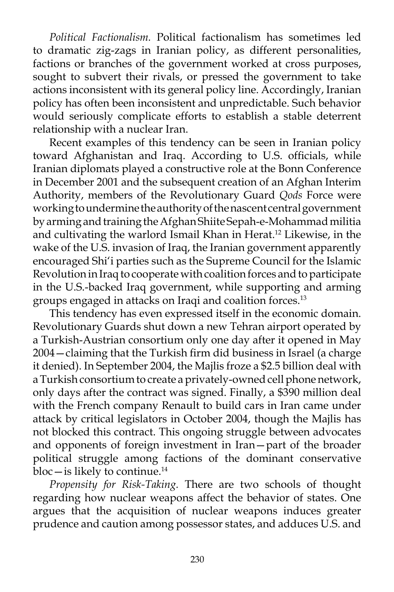*Political Factionalism.* Political factionalism has sometimes led to dramatic zig-zags in Iranian policy, as different personalities, factions or branches of the government worked at cross purposes, sought to subvert their rivals, or pressed the government to take actions inconsistent with its general policy line. Accordingly, Iranian policy has often been inconsistent and unpredictable. Such behavior would seriously complicate efforts to establish a stable deterrent relationship with a nuclear Iran.

 Recent examples of this tendency can be seen in Iranian policy toward Afghanistan and Iraq. According to U.S. officials, while Iranian diplomats played a constructive role at the Bonn Conference in December 2001 and the subsequent creation of an Afghan Interim Authority, members of the Revolutionary Guard *Qods* Force were working to undermine the authority of the nascent central government by arming and training the Afghan Shiite Sepah-e-Mohammad militia and cultivating the warlord Ismail Khan in Herat.<sup>12</sup> Likewise, in the wake of the U.S. invasion of Iraq, the Iranian government apparently encouraged Shi'i parties such as the Supreme Council for the Islamic Revolution in Iraq to cooperate with coalition forces and to participate in the U.S.-backed Iraq government, while supporting and arming groups engaged in attacks on Iraqi and coalition forces.13

 This tendency has even expressed itself in the economic domain. Revolutionary Guards shut down a new Tehran airport operated by a Turkish-Austrian consortium only one day after it opened in May 2004—claiming that the Turkish firm did business in Israel (a charge it denied). In September 2004, the Majlis froze a \$2.5 billion deal with a Turkish consortium to create a privately-owned cell phone network, only days after the contract was signed. Finally, a \$390 million deal with the French company Renault to build cars in Iran came under attack by critical legislators in October 2004, though the Majlis has not blocked this contract. This ongoing struggle between advocates and opponents of foreign investment in Iran—part of the broader political struggle among factions of the dominant conservative bloc—is likely to continue.14

*Propensity for Risk-Taking.* There are two schools of thought regarding how nuclear weapons affect the behavior of states. One argues that the acquisition of nuclear weapons induces greater prudence and caution among possessor states, and adduces U.S. and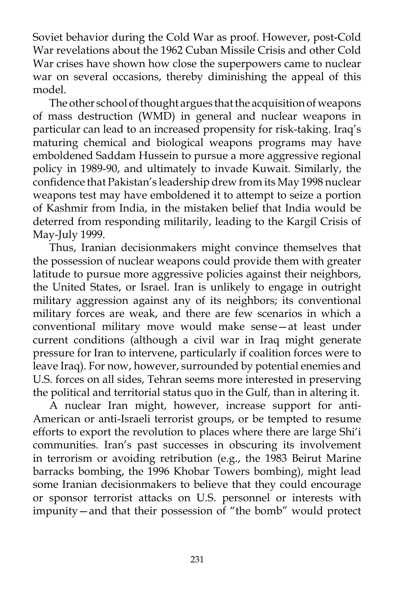Soviet behavior during the Cold War as proof. However, post-Cold War revelations about the 1962 Cuban Missile Crisis and other Cold War crises have shown how close the superpowers came to nuclear war on several occasions, thereby diminishing the appeal of this model.

 The other school of thought argues that the acquisition of weapons of mass destruction (WMD) in general and nuclear weapons in particular can lead to an increased propensity for risk-taking. Iraq's maturing chemical and biological weapons programs may have emboldened Saddam Hussein to pursue a more aggressive regional policy in 1989-90, and ultimately to invade Kuwait. Similarly, the confidence that Pakistan's leadership drew from its May 1998 nuclear weapons test may have emboldened it to attempt to seize a portion of Kashmir from India, in the mistaken belief that India would be deterred from responding militarily, leading to the Kargil Crisis of May-July 1999.

 Thus, Iranian decisionmakers might convince themselves that the possession of nuclear weapons could provide them with greater latitude to pursue more aggressive policies against their neighbors, the United States, or Israel. Iran is unlikely to engage in outright military aggression against any of its neighbors; its conventional military forces are weak, and there are few scenarios in which a conventional military move would make sense—at least under current conditions (although a civil war in Iraq might generate pressure for Iran to intervene, particularly if coalition forces were to leave Iraq). For now, however, surrounded by potential enemies and U.S. forces on all sides, Tehran seems more interested in preserving the political and territorial status quo in the Gulf, than in altering it.

 A nuclear Iran might, however, increase support for anti-American or anti-Israeli terrorist groups, or be tempted to resume efforts to export the revolution to places where there are large Shi'i communities. Iran's past successes in obscuring its involvement in terrorism or avoiding retribution (e.g., the 1983 Beirut Marine barracks bombing, the 1996 Khobar Towers bombing), might lead some Iranian decisionmakers to believe that they could encourage or sponsor terrorist attacks on U.S. personnel or interests with impunity—and that their possession of "the bomb" would protect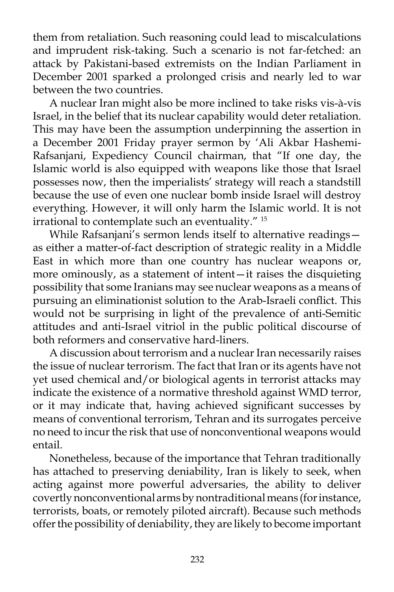them from retaliation. Such reasoning could lead to miscalculations and imprudent risk-taking. Such a scenario is not far-fetched: an attack by Pakistani-based extremists on the Indian Parliament in December 2001 sparked a prolonged crisis and nearly led to war between the two countries.

 A nuclear Iran might also be more inclined to take risks vis-à-vis Israel, in the belief that its nuclear capability would deter retaliation. This may have been the assumption underpinning the assertion in a December 2001 Friday prayer sermon by 'Ali Akbar Hashemi-Rafsanjani, Expediency Council chairman, that "If one day, the Islamic world is also equipped with weapons like those that Israel possesses now, then the imperialists' strategy will reach a standstill because the use of even one nuclear bomb inside Israel will destroy everything. However, it will only harm the Islamic world. It is not irrational to contemplate such an eventuality."<sup>15</sup>

 While Rafsanjani's sermon lends itself to alternative readings as either a matter-of-fact description of strategic reality in a Middle East in which more than one country has nuclear weapons or, more ominously, as a statement of intent—it raises the disquieting possibility that some Iranians may see nuclear weapons as a means of pursuing an eliminationist solution to the Arab-Israeli conflict. This would not be surprising in light of the prevalence of anti-Semitic attitudes and anti-Israel vitriol in the public political discourse of both reformers and conservative hard-liners.

 A discussion about terrorism and a nuclear Iran necessarily raises the issue of nuclear terrorism. The fact that Iran or its agents have not yet used chemical and/or biological agents in terrorist attacks may indicate the existence of a normative threshold against WMD terror, or it may indicate that, having achieved significant successes by means of conventional terrorism, Tehran and its surrogates perceive no need to incur the risk that use of nonconventional weapons would entail.

 Nonetheless, because of the importance that Tehran traditionally has attached to preserving deniability, Iran is likely to seek, when acting against more powerful adversaries, the ability to deliver covertly nonconventional arms by nontraditional means (for instance, terrorists, boats, or remotely piloted aircraft). Because such methods offer the possibility of deniability, they are likely to become important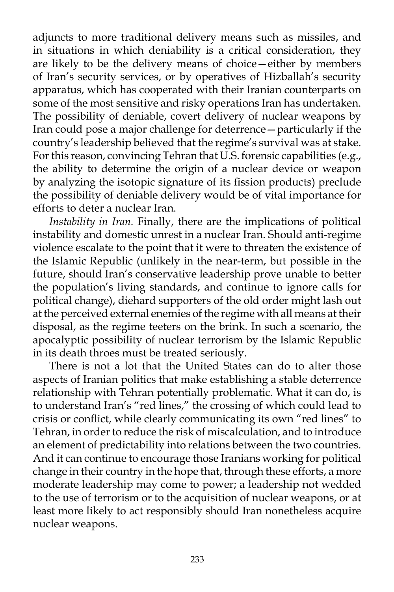adjuncts to more traditional delivery means such as missiles, and in situations in which deniability is a critical consideration, they are likely to be the delivery means of choice—either by members of Iran's security services, or by operatives of Hizballah's security apparatus, which has cooperated with their Iranian counterparts on some of the most sensitive and risky operations Iran has undertaken. The possibility of deniable, covert delivery of nuclear weapons by Iran could pose a major challenge for deterrence—particularly if the country's leadership believed that the regime's survival was at stake. For this reason, convincing Tehran that U.S. forensic capabilities (e.g., the ability to determine the origin of a nuclear device or weapon by analyzing the isotopic signature of its fission products) preclude the possibility of deniable delivery would be of vital importance for efforts to deter a nuclear Iran.

*Instability in Iran.* Finally, there are the implications of political instability and domestic unrest in a nuclear Iran. Should anti-regime violence escalate to the point that it were to threaten the existence of the Islamic Republic (unlikely in the near-term, but possible in the future, should Iran's conservative leadership prove unable to better the population's living standards, and continue to ignore calls for political change), diehard supporters of the old order might lash out at the perceived external enemies of the regime with all means at their disposal, as the regime teeters on the brink. In such a scenario, the apocalyptic possibility of nuclear terrorism by the Islamic Republic in its death throes must be treated seriously.

 There is not a lot that the United States can do to alter those aspects of Iranian politics that make establishing a stable deterrence relationship with Tehran potentially problematic. What it can do, is to understand Iran's "red lines," the crossing of which could lead to crisis or conflict, while clearly communicating its own "red lines" to Tehran, in order to reduce the risk of miscalculation, and to introduce an element of predictability into relations between the two countries. And it can continue to encourage those Iranians working for political change in their country in the hope that, through these efforts, a more moderate leadership may come to power; a leadership not wedded to the use of terrorism or to the acquisition of nuclear weapons, or at least more likely to act responsibly should Iran nonetheless acquire nuclear weapons.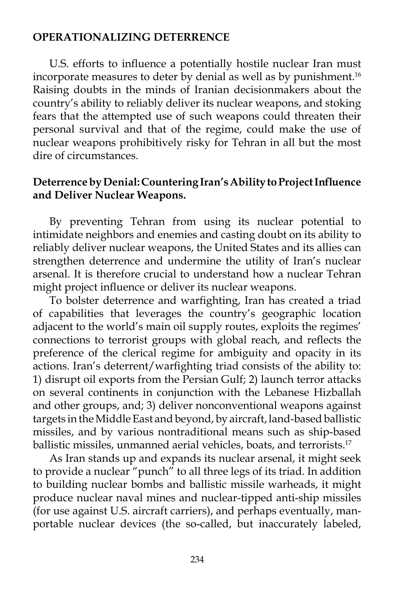### **OPERATIONALIZING DETERRENCE**

 U.S. efforts to influence a potentially hostile nuclear Iran must incorporate measures to deter by denial as well as by punishment.16 Raising doubts in the minds of Iranian decisionmakers about the country's ability to reliably deliver its nuclear weapons, and stoking fears that the attempted use of such weapons could threaten their personal survival and that of the regime, could make the use of nuclear weapons prohibitively risky for Tehran in all but the most dire of circumstances.

## **Deterrence by Denial: Countering Iran's Ability to Project Influence and Deliver Nuclear Weapons.**

 By preventing Tehran from using its nuclear potential to intimidate neighbors and enemies and casting doubt on its ability to reliably deliver nuclear weapons, the United States and its allies can strengthen deterrence and undermine the utility of Iran's nuclear arsenal. It is therefore crucial to understand how a nuclear Tehran might project influence or deliver its nuclear weapons.

 To bolster deterrence and warfighting, Iran has created a triad of capabilities that leverages the country's geographic location adjacent to the world's main oil supply routes, exploits the regimes' connections to terrorist groups with global reach, and reflects the preference of the clerical regime for ambiguity and opacity in its actions. Iran's deterrent/warfighting triad consists of the ability to: 1) disrupt oil exports from the Persian Gulf; 2) launch terror attacks on several continents in conjunction with the Lebanese Hizballah and other groups, and; 3) deliver nonconventional weapons against targets in the Middle East and beyond, by aircraft, land-based ballistic missiles, and by various nontraditional means such as ship-based ballistic missiles, unmanned aerial vehicles, boats, and terrorists.<sup>17</sup>

 As Iran stands up and expands its nuclear arsenal, it might seek to provide a nuclear "punch" to all three legs of its triad. In addition to building nuclear bombs and ballistic missile warheads, it might produce nuclear naval mines and nuclear-tipped anti-ship missiles (for use against U.S. aircraft carriers), and perhaps eventually, manportable nuclear devices (the so-called, but inaccurately labeled,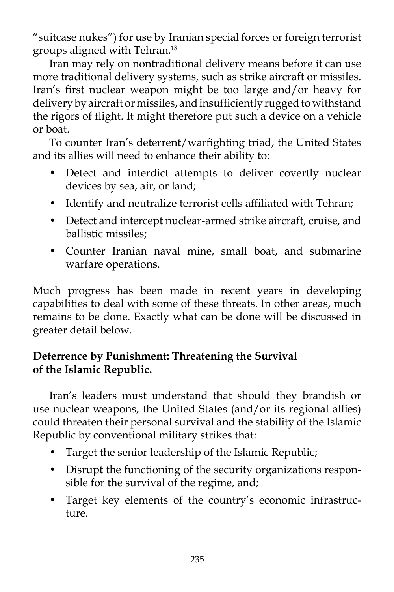"suitcase nukes") for use by Iranian special forces or foreign terrorist groups aligned with Tehran.18

 Iran may rely on nontraditional delivery means before it can use more traditional delivery systems, such as strike aircraft or missiles. Iran's first nuclear weapon might be too large and/or heavy for delivery by aircraft or missiles, and insufficiently rugged to withstand the rigors of flight. It might therefore put such a device on a vehicle or boat.

 To counter Iran's deterrent/warfighting triad, the United States and its allies will need to enhance their ability to:

- Detect and interdict attempts to deliver covertly nuclear devices by sea, air, or land;
- Identify and neutralize terrorist cells affiliated with Tehran;
- Detect and intercept nuclear-armed strike aircraft, cruise, and ballistic missiles;
- Counter Iranian naval mine, small boat, and submarine warfare operations.

Much progress has been made in recent years in developing capabilities to deal with some of these threats. In other areas, much remains to be done. Exactly what can be done will be discussed in greater detail below.

# **Deterrence by Punishment: Threatening the Survival of the Islamic Republic.**

 Iran's leaders must understand that should they brandish or use nuclear weapons, the United States (and/or its regional allies) could threaten their personal survival and the stability of the Islamic Republic by conventional military strikes that:

- Target the senior leadership of the Islamic Republic;
- Disrupt the functioning of the security organizations responsible for the survival of the regime, and;
- Target key elements of the country's economic infrastructure.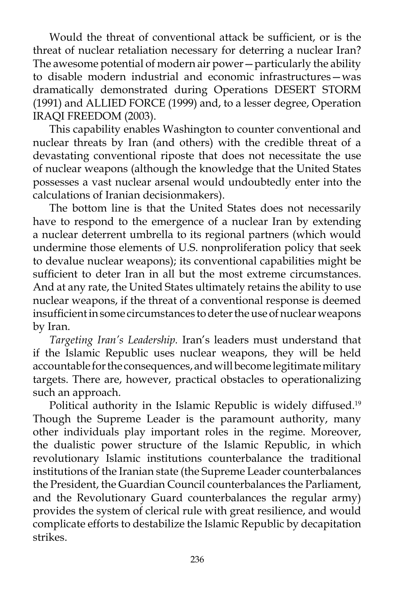Would the threat of conventional attack be sufficient, or is the threat of nuclear retaliation necessary for deterring a nuclear Iran? The awesome potential of modern air power—particularly the ability to disable modern industrial and economic infrastructures—was dramatically demonstrated during Operations DESERT STORM (1991) and ALLIED FORCE (1999) and, to a lesser degree, Operation IRAQI FREEDOM (2003).

 This capability enables Washington to counter conventional and nuclear threats by Iran (and others) with the credible threat of a devastating conventional riposte that does not necessitate the use of nuclear weapons (although the knowledge that the United States possesses a vast nuclear arsenal would undoubtedly enter into the calculations of Iranian decisionmakers).

 The bottom line is that the United States does not necessarily have to respond to the emergence of a nuclear Iran by extending a nuclear deterrent umbrella to its regional partners (which would undermine those elements of U.S. nonproliferation policy that seek to devalue nuclear weapons); its conventional capabilities might be sufficient to deter Iran in all but the most extreme circumstances. And at any rate, the United States ultimately retains the ability to use nuclear weapons, if the threat of a conventional response is deemed insufficient in some circumstances to deter the use of nuclear weapons by Iran.

*Targeting Iran's Leadership.* Iran's leaders must understand that if the Islamic Republic uses nuclear weapons, they will be held accountable for the consequences, and will become legitimate military targets. There are, however, practical obstacles to operationalizing such an approach.

 Political authority in the Islamic Republic is widely diffused.19 Though the Supreme Leader is the paramount authority, many other individuals play important roles in the regime. Moreover, the dualistic power structure of the Islamic Republic, in which revolutionary Islamic institutions counterbalance the traditional institutions of the Iranian state (the Supreme Leader counterbalances the President, the Guardian Council counterbalances the Parliament, and the Revolutionary Guard counterbalances the regular army) provides the system of clerical rule with great resilience, and would complicate efforts to destabilize the Islamic Republic by decapitation strikes.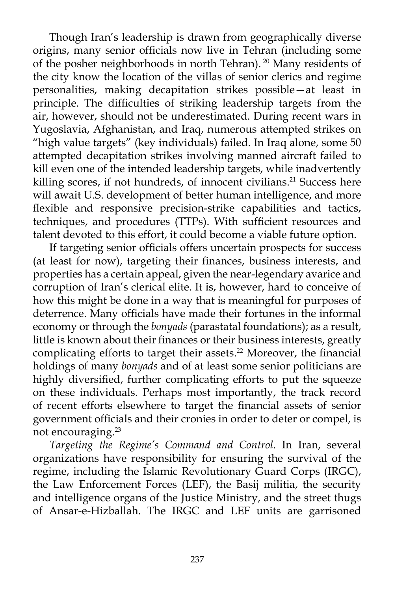Though Iran's leadership is drawn from geographically diverse origins, many senior officials now live in Tehran (including some of the posher neighborhoods in north Tehran).<sup>20</sup> Many residents of the city know the location of the villas of senior clerics and regime personalities, making decapitation strikes possible—at least in principle. The difficulties of striking leadership targets from the air, however, should not be underestimated. During recent wars in Yugoslavia, Afghanistan, and Iraq, numerous attempted strikes on "high value targets" (key individuals) failed. In Iraq alone, some 50 attempted decapitation strikes involving manned aircraft failed to kill even one of the intended leadership targets, while inadvertently killing scores, if not hundreds, of innocent civilians.<sup>21</sup> Success here will await U.S. development of better human intelligence, and more flexible and responsive precision-strike capabilities and tactics, techniques, and procedures (TTPs). With sufficient resources and talent devoted to this effort, it could become a viable future option.

 If targeting senior officials offers uncertain prospects for success (at least for now), targeting their finances, business interests, and properties has a certain appeal, given the near-legendary avarice and corruption of Iran's clerical elite. It is, however, hard to conceive of how this might be done in a way that is meaningful for purposes of deterrence. Many officials have made their fortunes in the informal economy or through the *bonyads* (parastatal foundations); as a result, little is known about their finances or their business interests, greatly complicating efforts to target their assets.<sup>22</sup> Moreover, the financial holdings of many *bonyads* and of at least some senior politicians are highly diversified, further complicating efforts to put the squeeze on these individuals. Perhaps most importantly, the track record of recent efforts elsewhere to target the financial assets of senior government officials and their cronies in order to deter or compel, is not encouraging.23

*Targeting the Regime's Command and Control.* In Iran, several organizations have responsibility for ensuring the survival of the regime, including the Islamic Revolutionary Guard Corps (IRGC), the Law Enforcement Forces (LEF), the Basij militia, the security and intelligence organs of the Justice Ministry, and the street thugs of Ansar-e-Hizballah. The IRGC and LEF units are garrisoned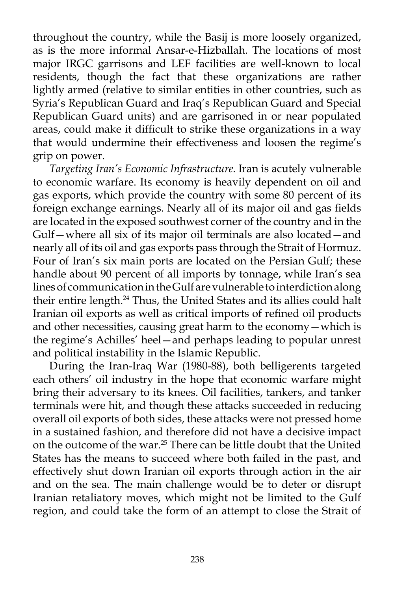throughout the country, while the Basij is more loosely organized, as is the more informal Ansar-e-Hizballah. The locations of most major IRGC garrisons and LEF facilities are well-known to local residents, though the fact that these organizations are rather lightly armed (relative to similar entities in other countries, such as Syria's Republican Guard and Iraq's Republican Guard and Special Republican Guard units) and are garrisoned in or near populated areas, could make it difficult to strike these organizations in a way that would undermine their effectiveness and loosen the regime's grip on power.

*Targeting Iran's Economic Infrastructure.* Iran is acutely vulnerable to economic warfare. Its economy is heavily dependent on oil and gas exports, which provide the country with some 80 percent of its foreign exchange earnings. Nearly all of its major oil and gas fields are located in the exposed southwest corner of the country and in the Gulf—where all six of its major oil terminals are also located—and nearly all of its oil and gas exports pass through the Strait of Hormuz. Four of Iran's six main ports are located on the Persian Gulf; these handle about 90 percent of all imports by tonnage, while Iran's sea lines of communication in the Gulf are vulnerable to interdiction along their entire length.<sup>24</sup> Thus, the United States and its allies could halt Iranian oil exports as well as critical imports of refined oil products and other necessities, causing great harm to the economy—which is the regime's Achilles' heel—and perhaps leading to popular unrest and political instability in the Islamic Republic.

 During the Iran-Iraq War (1980-88), both belligerents targeted each others' oil industry in the hope that economic warfare might bring their adversary to its knees. Oil facilities, tankers, and tanker terminals were hit, and though these attacks succeeded in reducing overall oil exports of both sides, these attacks were not pressed home in a sustained fashion, and therefore did not have a decisive impact on the outcome of the war.25 There can be little doubt that the United States has the means to succeed where both failed in the past, and effectively shut down Iranian oil exports through action in the air and on the sea. The main challenge would be to deter or disrupt Iranian retaliatory moves, which might not be limited to the Gulf region, and could take the form of an attempt to close the Strait of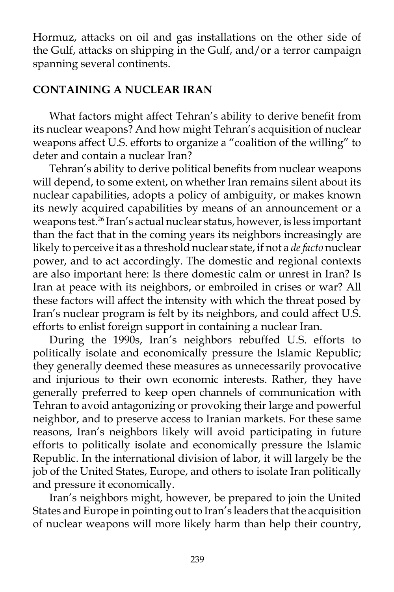Hormuz, attacks on oil and gas installations on the other side of the Gulf, attacks on shipping in the Gulf, and/or a terror campaign spanning several continents.

# **CONTAINING A NUCLEAR IRAN**

 What factors might affect Tehran's ability to derive benefit from its nuclear weapons? And how might Tehran's acquisition of nuclear weapons affect U.S. efforts to organize a "coalition of the willing" to deter and contain a nuclear Iran?

 Tehran's ability to derive political benefits from nuclear weapons will depend, to some extent, on whether Iran remains silent about its nuclear capabilities, adopts a policy of ambiguity, or makes known its newly acquired capabilities by means of an announcement or a weapons test.<sup>26</sup> Iran's actual nuclear status, however, is less important than the fact that in the coming years its neighbors increasingly are likely to perceive it as a threshold nuclear state, if not a *de facto* nuclear power, and to act accordingly. The domestic and regional contexts are also important here: Is there domestic calm or unrest in Iran? Is Iran at peace with its neighbors, or embroiled in crises or war? All these factors will affect the intensity with which the threat posed by Iran's nuclear program is felt by its neighbors, and could affect U.S. efforts to enlist foreign support in containing a nuclear Iran.

 During the 1990s, Iran's neighbors rebuffed U.S. efforts to politically isolate and economically pressure the Islamic Republic; they generally deemed these measures as unnecessarily provocative and injurious to their own economic interests. Rather, they have generally preferred to keep open channels of communication with Tehran to avoid antagonizing or provoking their large and powerful neighbor, and to preserve access to Iranian markets. For these same reasons, Iran's neighbors likely will avoid participating in future efforts to politically isolate and economically pressure the Islamic Republic. In the international division of labor, it will largely be the job of the United States, Europe, and others to isolate Iran politically and pressure it economically.

 Iran's neighbors might, however, be prepared to join the United States and Europe in pointing out to Iran's leaders that the acquisition of nuclear weapons will more likely harm than help their country,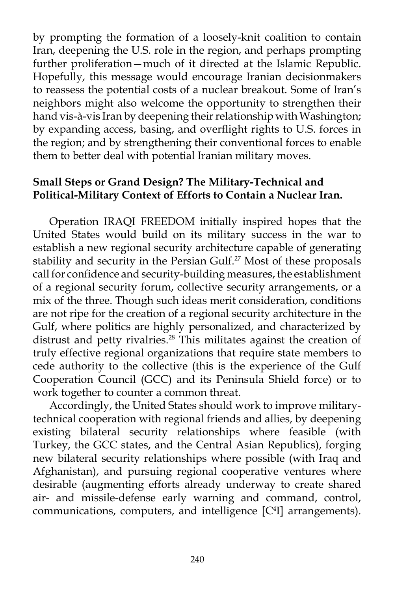by prompting the formation of a loosely-knit coalition to contain Iran, deepening the U.S. role in the region, and perhaps prompting further proliferation—much of it directed at the Islamic Republic. Hopefully, this message would encourage Iranian decisionmakers to reassess the potential costs of a nuclear breakout. Some of Iran's neighbors might also welcome the opportunity to strengthen their hand vis-à-vis Iran by deepening their relationship with Washington; by expanding access, basing, and overflight rights to U.S. forces in the region; and by strengthening their conventional forces to enable them to better deal with potential Iranian military moves.

## **Small Steps or Grand Design? The Military-Technical and Political-Military Context of Efforts to Contain a Nuclear Iran.**

 Operation IRAQI FREEDOM initially inspired hopes that the United States would build on its military success in the war to establish a new regional security architecture capable of generating stability and security in the Persian Gulf.<sup>27</sup> Most of these proposals call for confidence and security-building measures, the establishment of a regional security forum, collective security arrangements, or a mix of the three. Though such ideas merit consideration, conditions are not ripe for the creation of a regional security architecture in the Gulf, where politics are highly personalized, and characterized by distrust and petty rivalries.<sup>28</sup> This militates against the creation of truly effective regional organizations that require state members to cede authority to the collective (this is the experience of the Gulf Cooperation Council (GCC) and its Peninsula Shield force) or to work together to counter a common threat.

 Accordingly, the United States should work to improve militarytechnical cooperation with regional friends and allies, by deepening existing bilateral security relationships where feasible (with Turkey, the GCC states, and the Central Asian Republics), forging new bilateral security relationships where possible (with Iraq and Afghanistan), and pursuing regional cooperative ventures where desirable (augmenting efforts already underway to create shared air- and missile-defense early warning and command, control,  $communications, computers, and intelligence  $[C<sup>4</sup>I]$  arrangements).$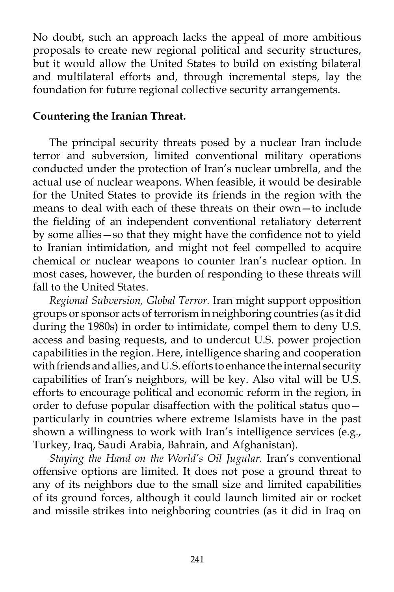No doubt, such an approach lacks the appeal of more ambitious proposals to create new regional political and security structures, but it would allow the United States to build on existing bilateral and multilateral efforts and, through incremental steps, lay the foundation for future regional collective security arrangements.

## **Countering the Iranian Threat.**

 The principal security threats posed by a nuclear Iran include terror and subversion, limited conventional military operations conducted under the protection of Iran's nuclear umbrella, and the actual use of nuclear weapons. When feasible, it would be desirable for the United States to provide its friends in the region with the means to deal with each of these threats on their own—to include the fielding of an independent conventional retaliatory deterrent by some allies—so that they might have the confidence not to yield to Iranian intimidation, and might not feel compelled to acquire chemical or nuclear weapons to counter Iran's nuclear option. In most cases, however, the burden of responding to these threats will fall to the United States.

*Regional Subversion, Global Terror.* Iran might support opposition groups or sponsor acts of terrorism in neighboring countries (as it did during the 1980s) in order to intimidate, compel them to deny U.S. access and basing requests, and to undercut U.S. power projection capabilities in the region. Here, intelligence sharing and cooperation with friends and allies, and U.S. efforts to enhance the internal security capabilities of Iran's neighbors, will be key. Also vital will be U.S. efforts to encourage political and economic reform in the region, in order to defuse popular disaffection with the political status quo particularly in countries where extreme Islamists have in the past shown a willingness to work with Iran's intelligence services (e.g., Turkey, Iraq, Saudi Arabia, Bahrain, and Afghanistan).

*Staying the Hand on the World's Oil Jugular.* Iran's conventional offensive options are limited. It does not pose a ground threat to any of its neighbors due to the small size and limited capabilities of its ground forces, although it could launch limited air or rocket and missile strikes into neighboring countries (as it did in Iraq on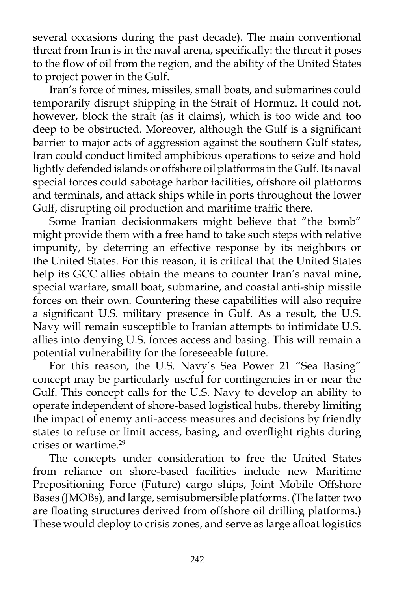several occasions during the past decade). The main conventional threat from Iran is in the naval arena, specifically: the threat it poses to the flow of oil from the region, and the ability of the United States to project power in the Gulf.

 Iran's force of mines, missiles, small boats, and submarines could temporarily disrupt shipping in the Strait of Hormuz. It could not, however, block the strait (as it claims), which is too wide and too deep to be obstructed. Moreover, although the Gulf is a significant barrier to major acts of aggression against the southern Gulf states, Iran could conduct limited amphibious operations to seize and hold lightly defended islands or offshore oil platforms in the Gulf. Its naval special forces could sabotage harbor facilities, offshore oil platforms and terminals, and attack ships while in ports throughout the lower Gulf, disrupting oil production and maritime traffic there.

 Some Iranian decisionmakers might believe that "the bomb" might provide them with a free hand to take such steps with relative impunity, by deterring an effective response by its neighbors or the United States. For this reason, it is critical that the United States help its GCC allies obtain the means to counter Iran's naval mine, special warfare, small boat, submarine, and coastal anti-ship missile forces on their own. Countering these capabilities will also require a significant U.S. military presence in Gulf. As a result, the U.S. Navy will remain susceptible to Iranian attempts to intimidate U.S. allies into denying U.S. forces access and basing. This will remain a potential vulnerability for the foreseeable future.

 For this reason, the U.S. Navy's Sea Power 21 "Sea Basing" concept may be particularly useful for contingencies in or near the Gulf. This concept calls for the U.S. Navy to develop an ability to operate independent of shore-based logistical hubs, thereby limiting the impact of enemy anti-access measures and decisions by friendly states to refuse or limit access, basing, and overflight rights during crises or wartime.<sup>29</sup>

 The concepts under consideration to free the United States from reliance on shore-based facilities include new Maritime Prepositioning Force (Future) cargo ships, Joint Mobile Offshore Bases (JMOBs), and large, semisubmersible platforms. (The latter two are floating structures derived from offshore oil drilling platforms.) These would deploy to crisis zones, and serve as large afloat logistics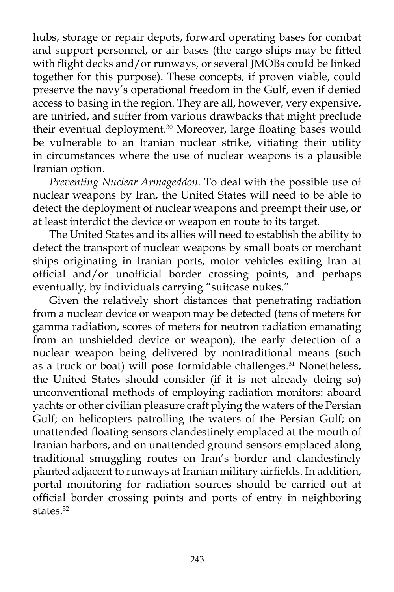hubs, storage or repair depots, forward operating bases for combat and support personnel, or air bases (the cargo ships may be fitted with flight decks and/or runways, or several JMOBs could be linked together for this purpose). These concepts, if proven viable, could preserve the navy's operational freedom in the Gulf, even if denied access to basing in the region. They are all, however, very expensive, are untried, and suffer from various drawbacks that might preclude their eventual deployment.<sup>30</sup> Moreover, large floating bases would be vulnerable to an Iranian nuclear strike, vitiating their utility in circumstances where the use of nuclear weapons is a plausible Iranian option.

*Preventing Nuclear Armageddon.* To deal with the possible use of nuclear weapons by Iran, the United States will need to be able to detect the deployment of nuclear weapons and preempt their use, or at least interdict the device or weapon en route to its target.

 The United States and its allies will need to establish the ability to detect the transport of nuclear weapons by small boats or merchant ships originating in Iranian ports, motor vehicles exiting Iran at official and/or unofficial border crossing points, and perhaps eventually, by individuals carrying "suitcase nukes."

 Given the relatively short distances that penetrating radiation from a nuclear device or weapon may be detected (tens of meters for gamma radiation, scores of meters for neutron radiation emanating from an unshielded device or weapon), the early detection of a nuclear weapon being delivered by nontraditional means (such as a truck or boat) will pose formidable challenges.<sup>31</sup> Nonetheless, the United States should consider (if it is not already doing so) unconventional methods of employing radiation monitors: aboard yachts or other civilian pleasure craft plying the waters of the Persian Gulf; on helicopters patrolling the waters of the Persian Gulf; on unattended floating sensors clandestinely emplaced at the mouth of Iranian harbors, and on unattended ground sensors emplaced along traditional smuggling routes on Iran's border and clandestinely planted adjacent to runways at Iranian military airfields. In addition, portal monitoring for radiation sources should be carried out at official border crossing points and ports of entry in neighboring states.<sup>32</sup>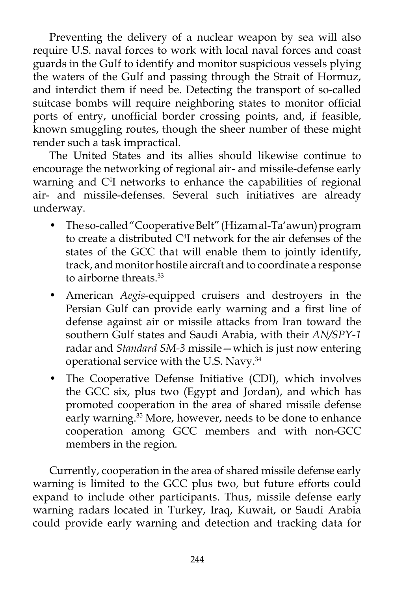Preventing the delivery of a nuclear weapon by sea will also require U.S. naval forces to work with local naval forces and coast guards in the Gulf to identify and monitor suspicious vessels plying the waters of the Gulf and passing through the Strait of Hormuz, and interdict them if need be. Detecting the transport of so-called suitcase bombs will require neighboring states to monitor official ports of entry, unofficial border crossing points, and, if feasible, known smuggling routes, though the sheer number of these might render such a task impractical.

 The United States and its allies should likewise continue to encourage the networking of regional air- and missile-defense early warning and C<sup>4</sup>I networks to enhance the capabilities of regional air- and missile-defenses. Several such initiatives are already underway.

- The so-called "Cooperative Belt" (Hizam al-Ta'awun) program to create a distributed C4 I network for the air defenses of the states of the GCC that will enable them to jointly identify, track, and monitor hostile aircraft and to coordinate a response to airborne threats.<sup>33</sup>
- American *Aegis*-equipped cruisers and destroyers in the Persian Gulf can provide early warning and a first line of defense against air or missile attacks from Iran toward the southern Gulf states and Saudi Arabia, with their *AN/SPY-1* radar and *Standard SM-3* missile—which is just now entering operational service with the U.S. Navy.34
- The Cooperative Defense Initiative (CDI), which involves the GCC six, plus two (Egypt and Jordan), and which has promoted cooperation in the area of shared missile defense early warning.<sup>35</sup> More, however, needs to be done to enhance cooperation among GCC members and with non-GCC members in the region.

 Currently, cooperation in the area of shared missile defense early warning is limited to the GCC plus two, but future efforts could expand to include other participants. Thus, missile defense early warning radars located in Turkey, Iraq, Kuwait, or Saudi Arabia could provide early warning and detection and tracking data for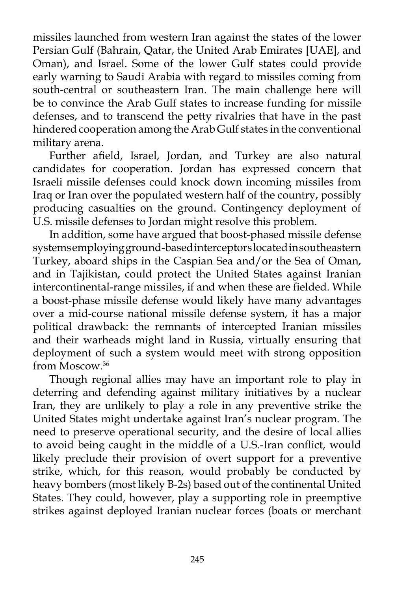missiles launched from western Iran against the states of the lower Persian Gulf (Bahrain, Qatar, the United Arab Emirates [UAE], and Oman), and Israel. Some of the lower Gulf states could provide early warning to Saudi Arabia with regard to missiles coming from south-central or southeastern Iran. The main challenge here will be to convince the Arab Gulf states to increase funding for missile defenses, and to transcend the petty rivalries that have in the past hindered cooperation among the Arab Gulf states in the conventional military arena.

 Further afield, Israel, Jordan, and Turkey are also natural candidates for cooperation. Jordan has expressed concern that Israeli missile defenses could knock down incoming missiles from Iraq or Iran over the populated western half of the country, possibly producing casualties on the ground. Contingency deployment of U.S. missile defenses to Jordan might resolve this problem.

 In addition, some have argued that boost-phased missile defense systems employing ground-based interceptors located in southeastern Turkey, aboard ships in the Caspian Sea and/or the Sea of Oman, and in Tajikistan, could protect the United States against Iranian intercontinental-range missiles, if and when these are fielded. While a boost-phase missile defense would likely have many advantages over a mid-course national missile defense system, it has a major political drawback: the remnants of intercepted Iranian missiles and their warheads might land in Russia, virtually ensuring that deployment of such a system would meet with strong opposition from Moscow.36

 Though regional allies may have an important role to play in deterring and defending against military initiatives by a nuclear Iran, they are unlikely to play a role in any preventive strike the United States might undertake against Iran's nuclear program. The need to preserve operational security, and the desire of local allies to avoid being caught in the middle of a U.S.-Iran conflict, would likely preclude their provision of overt support for a preventive strike, which, for this reason, would probably be conducted by heavy bombers (most likely B-2s) based out of the continental United States. They could, however, play a supporting role in preemptive strikes against deployed Iranian nuclear forces (boats or merchant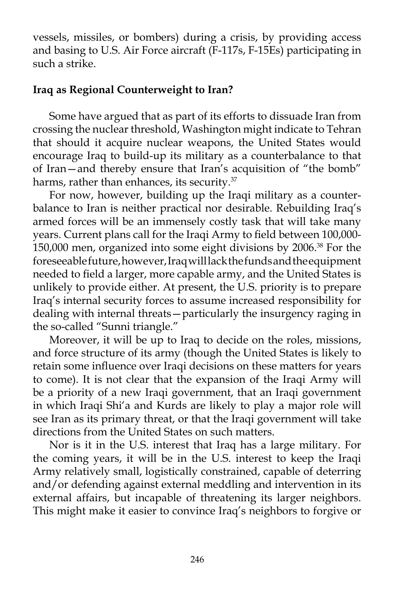vessels, missiles, or bombers) during a crisis, by providing access and basing to U.S. Air Force aircraft (F-117s, F-15Es) participating in such a strike.

# **Iraq as Regional Counterweight to Iran?**

 Some have argued that as part of its efforts to dissuade Iran from crossing the nuclear threshold, Washington might indicate to Tehran that should it acquire nuclear weapons, the United States would encourage Iraq to build-up its military as a counterbalance to that of Iran—and thereby ensure that Iran's acquisition of "the bomb" harms, rather than enhances, its security.<sup>37</sup>

 For now, however, building up the Iraqi military as a counterbalance to Iran is neither practical nor desirable. Rebuilding Iraq's armed forces will be an immensely costly task that will take many years. Current plans call for the Iraqi Army to field between 100,000- 150,000 men, organized into some eight divisions by 2006.<sup>38</sup> For the foreseeable future, however, Iraq will lack the funds and the equipment needed to field a larger, more capable army, and the United States is unlikely to provide either. At present, the U.S. priority is to prepare Iraq's internal security forces to assume increased responsibility for dealing with internal threats—particularly the insurgency raging in the so-called "Sunni triangle."

 Moreover, it will be up to Iraq to decide on the roles, missions, and force structure of its army (though the United States is likely to retain some influence over Iraqi decisions on these matters for years to come). It is not clear that the expansion of the Iraqi Army will be a priority of a new Iraqi government, that an Iraqi government in which Iraqi Shi'a and Kurds are likely to play a major role will see Iran as its primary threat, or that the Iraqi government will take directions from the United States on such matters.

 Nor is it in the U.S. interest that Iraq has a large military. For the coming years, it will be in the U.S. interest to keep the Iraqi Army relatively small, logistically constrained, capable of deterring and/or defending against external meddling and intervention in its external affairs, but incapable of threatening its larger neighbors. This might make it easier to convince Iraq's neighbors to forgive or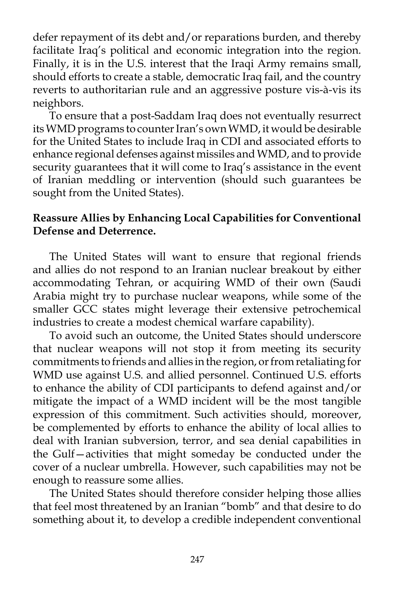defer repayment of its debt and/or reparations burden, and thereby facilitate Iraq's political and economic integration into the region. Finally, it is in the U.S. interest that the Iraqi Army remains small, should efforts to create a stable, democratic Iraq fail, and the country reverts to authoritarian rule and an aggressive posture vis-à-vis its neighbors.

 To ensure that a post-Saddam Iraq does not eventually resurrect its WMD programs to counter Iran's own WMD, it would be desirable for the United States to include Iraq in CDI and associated efforts to enhance regional defenses against missiles and WMD, and to provide security guarantees that it will come to Iraq's assistance in the event of Iranian meddling or intervention (should such guarantees be sought from the United States).

## **Reassure Allies by Enhancing Local Capabilities for Conventional Defense and Deterrence.**

 The United States will want to ensure that regional friends and allies do not respond to an Iranian nuclear breakout by either accommodating Tehran, or acquiring WMD of their own (Saudi Arabia might try to purchase nuclear weapons, while some of the smaller GCC states might leverage their extensive petrochemical industries to create a modest chemical warfare capability).

 To avoid such an outcome, the United States should underscore that nuclear weapons will not stop it from meeting its security commitments to friends and allies in the region, or from retaliating for WMD use against U.S. and allied personnel. Continued U.S. efforts to enhance the ability of CDI participants to defend against and/or mitigate the impact of a WMD incident will be the most tangible expression of this commitment. Such activities should, moreover, be complemented by efforts to enhance the ability of local allies to deal with Iranian subversion, terror, and sea denial capabilities in the Gulf—activities that might someday be conducted under the cover of a nuclear umbrella. However, such capabilities may not be enough to reassure some allies.

 The United States should therefore consider helping those allies that feel most threatened by an Iranian "bomb" and that desire to do something about it, to develop a credible independent conventional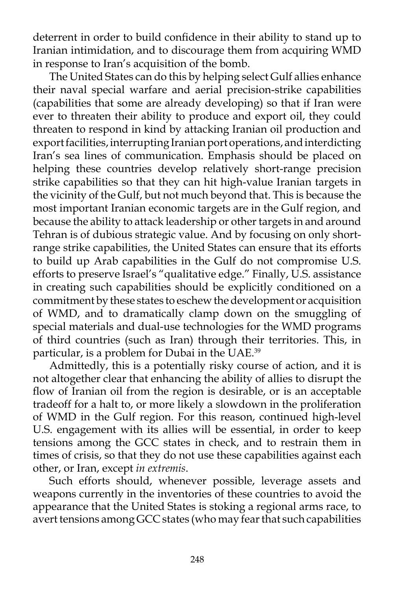deterrent in order to build confidence in their ability to stand up to Iranian intimidation, and to discourage them from acquiring WMD in response to Iran's acquisition of the bomb.

 The United States can do this by helping select Gulf allies enhance their naval special warfare and aerial precision-strike capabilities (capabilities that some are already developing) so that if Iran were ever to threaten their ability to produce and export oil, they could threaten to respond in kind by attacking Iranian oil production and export facilities, interrupting Iranian port operations, and interdicting Iran's sea lines of communication. Emphasis should be placed on helping these countries develop relatively short-range precision strike capabilities so that they can hit high-value Iranian targets in the vicinity of the Gulf, but not much beyond that. This is because the most important Iranian economic targets are in the Gulf region, and because the ability to attack leadership or other targets in and around Tehran is of dubious strategic value. And by focusing on only shortrange strike capabilities, the United States can ensure that its efforts to build up Arab capabilities in the Gulf do not compromise U.S. efforts to preserve Israel's "qualitative edge." Finally, U.S. assistance in creating such capabilities should be explicitly conditioned on a commitment by these states to eschew the development or acquisition of WMD, and to dramatically clamp down on the smuggling of special materials and dual-use technologies for the WMD programs of third countries (such as Iran) through their territories. This, in particular, is a problem for Dubai in the UAE.39

 Admittedly, this is a potentially risky course of action, and it is not altogether clear that enhancing the ability of allies to disrupt the flow of Iranian oil from the region is desirable, or is an acceptable tradeoff for a halt to, or more likely a slowdown in the proliferation of WMD in the Gulf region. For this reason, continued high-level U.S. engagement with its allies will be essential, in order to keep tensions among the GCC states in check, and to restrain them in times of crisis, so that they do not use these capabilities against each other, or Iran, except *in extremis*.

 Such efforts should, whenever possible, leverage assets and weapons currently in the inventories of these countries to avoid the appearance that the United States is stoking a regional arms race, to avert tensions among GCC states (who may fear that such capabilities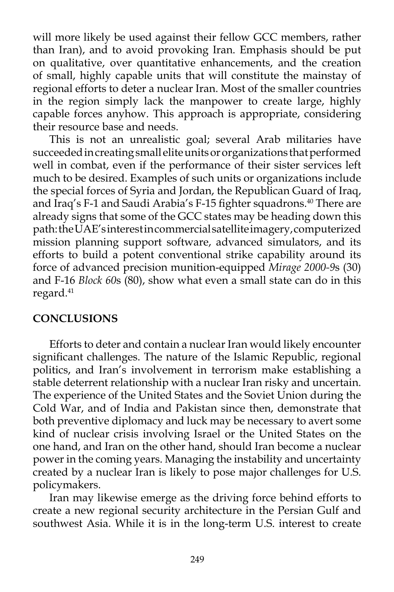will more likely be used against their fellow GCC members, rather than Iran), and to avoid provoking Iran. Emphasis should be put on qualitative, over quantitative enhancements, and the creation of small, highly capable units that will constitute the mainstay of regional efforts to deter a nuclear Iran. Most of the smaller countries in the region simply lack the manpower to create large, highly capable forces anyhow. This approach is appropriate, considering their resource base and needs.

 This is not an unrealistic goal; several Arab militaries have succeeded in creating small elite units or organizations that performed well in combat, even if the performance of their sister services left much to be desired. Examples of such units or organizations include the special forces of Syria and Jordan, the Republican Guard of Iraq, and Iraq's F-1 and Saudi Arabia's F-15 fighter squadrons.<sup>40</sup> There are already signs that some of the GCC states may be heading down this path: the UAE's interest in commercial satellite imagery, computerized mission planning support software, advanced simulators, and its efforts to build a potent conventional strike capability around its force of advanced precision munition-equipped *Mirage 2000-9*s (30) and F-16 *Block 60*s (80), show what even a small state can do in this regard.<sup>41</sup>

## **CONCLUSIONS**

 Efforts to deter and contain a nuclear Iran would likely encounter significant challenges. The nature of the Islamic Republic, regional politics, and Iran's involvement in terrorism make establishing a stable deterrent relationship with a nuclear Iran risky and uncertain. The experience of the United States and the Soviet Union during the Cold War, and of India and Pakistan since then, demonstrate that both preventive diplomacy and luck may be necessary to avert some kind of nuclear crisis involving Israel or the United States on the one hand, and Iran on the other hand, should Iran become a nuclear power in the coming years. Managing the instability and uncertainty created by a nuclear Iran is likely to pose major challenges for U.S. policymakers.

 Iran may likewise emerge as the driving force behind efforts to create a new regional security architecture in the Persian Gulf and southwest Asia. While it is in the long-term U.S. interest to create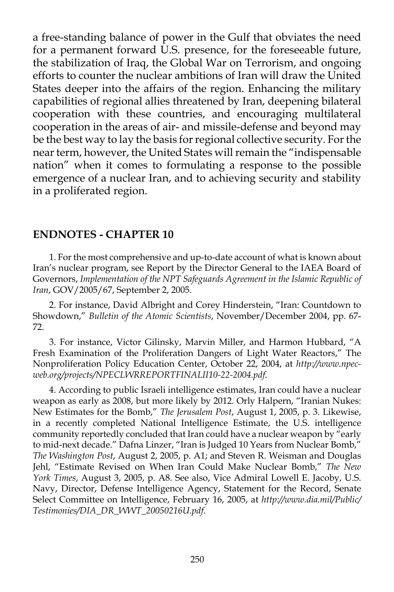a free-standing balance of power in the Gulf that obviates the need for a permanent forward U.S. presence, for the foreseeable future, the stabilization of Iraq, the Global War on Terrorism, and ongoing efforts to counter the nuclear ambitions of Iran will draw the United States deeper into the affairs of the region. Enhancing the military capabilities of regional allies threatened by Iran, deepening bilateral cooperation with these countries, and encouraging multilateral cooperation in the areas of air- and missile-defense and beyond may be the best way to lay the basis for regional collective security. For the near term, however, the United States will remain the "indispensable nation" when it comes to formulating a response to the possible emergence of a nuclear Iran, and to achieving security and stability in a proliferated region.

## **ENDNOTES - CHAPTER 10**

 1. For the most comprehensive and up-to-date account of what is known about Iran's nuclear program, see Report by the Director General to the IAEA Board of Governors, *Implementation of the NPT Safeguards Agreement in the Islamic Republic of Iran*, GOV/2005/67, September 2, 2005.

 2. For instance, David Albright and Corey Hinderstein, "Iran: Countdown to Showdown," *Bulletin of the Atomic Scientists*, November/December 2004, pp. 67- 72.

 3. For instance, Victor Gilinsky, Marvin Miller, and Harmon Hubbard, "A Fresh Examination of the Proliferation Dangers of Light Water Reactors," The Nonproliferation Policy Education Center, October 22, 2004, at *http://www.npecweb.org/projects/NPECLWRREPORTFINALII10-22-2004.pdf*.

 4. According to public Israeli intelligence estimates, Iran could have a nuclear weapon as early as 2008, but more likely by 2012. Orly Halpern, "Iranian Nukes: New Estimates for the Bomb," *The Jerusalem Post*, August 1, 2005, p. 3. Likewise, in a recently completed National Intelligence Estimate, the U.S. intelligence community reportedly concluded that Iran could have a nuclear weapon by "early to mid-next decade." Dafna Linzer, "Iran is Judged 10 Years from Nuclear Bomb," *The Washington Post*, August 2, 2005, p. A1; and Steven R. Weisman and Douglas Jehl, "Estimate Revised on When Iran Could Make Nuclear Bomb," *The New York Times*, August 3, 2005, p. A8. See also, Vice Admiral Lowell E. Jacoby, U.S. Navy, Director, Defense Intelligence Agency, Statement for the Record, Senate Select Committee on Intelligence, February 16, 2005, at *http://www.dia.mil/Public/ Testimonies/DIA\_DR\_WWT\_20050216U.pdf*.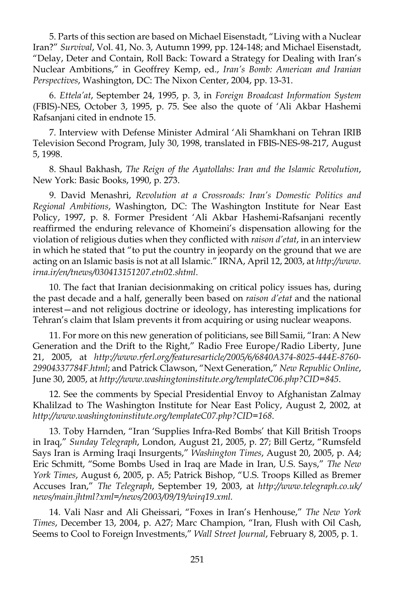5. Parts of this section are based on Michael Eisenstadt, "Living with a Nuclear Iran?" *Survival*, Vol. 41, No. 3, Autumn 1999, pp. 124-148; and Michael Eisenstadt, "Delay, Deter and Contain, Roll Back: Toward a Strategy for Dealing with Iran's Nuclear Ambitions," in Geoffrey Kemp, ed., *Iran's Bomb: American and Iranian Perspectives*, Washington, DC: The Nixon Center, 2004, pp. 13-31.

 6. *Ettela'at*, September 24, 1995, p. 3, in *Foreign Broadcast Information System* (FBIS)-NES, October 3, 1995, p. 75. See also the quote of 'Ali Akbar Hashemi Rafsanjani cited in endnote 15.

 7. Interview with Defense Minister Admiral 'Ali Shamkhani on Tehran IRIB Television Second Program, July 30, 1998, translated in FBIS-NES-98-217, August 5, 1998.

 8. Shaul Bakhash, *The Reign of the Ayatollahs: Iran and the Islamic Revolution*, New York: Basic Books, 1990, p. 273.

 9. David Menashri, *Revolution at a Crossroads: Iran's Domestic Politics and Regional Ambitions*, Washington, DC: The Washington Institute for Near East Policy, 1997, p. 8. Former President 'Ali Akbar Hashemi-Rafsanjani recently reaffirmed the enduring relevance of Khomeini's dispensation allowing for the violation of religious duties when they conflicted with *raison d'etat*, in an interview in which he stated that "to put the country in jeopardy on the ground that we are acting on an Islamic basis is not at all Islamic." IRNA, April 12, 2003, at *http://www. irna.ir/en/tnews/030413151207.etn02.shtml*.

 10. The fact that Iranian decisionmaking on critical policy issues has, during the past decade and a half, generally been based on *raison d'etat* and the national interest—and not religious doctrine or ideology, has interesting implications for Tehran's claim that Islam prevents it from acquiring or using nuclear weapons.

 11. For more on this new generation of politicians, see Bill Samii, "Iran: A New Generation and the Drift to the Right," Radio Free Europe/Radio Liberty, June 21, 2005, at *http://www.rferl.org/featuresarticle/2005/6/6840A374-8025-444E-8760- 29904337784F.html*; and Patrick Clawson, "Next Generation," *New Republic Online*, June 30, 2005, at *http://www.washingtoninstitute.org/templateC06.php?CID=845*.

 12. See the comments by Special Presidential Envoy to Afghanistan Zalmay Khalilzad to The Washington Institute for Near East Policy, August 2, 2002, at *http://www.washingtoninstitute.org/templateC07.php?CID=168*.

 13. Toby Harnden, "Iran 'Supplies Infra-Red Bombs' that Kill British Troops in Iraq," *Sunday Telegraph*, London, August 21, 2005, p. 27; Bill Gertz, "Rumsfeld Says Iran is Arming Iraqi Insurgents," *Washington Times*, August 20, 2005, p. A4; Eric Schmitt, "Some Bombs Used in Iraq are Made in Iran, U.S. Says," *The New York Times*, August 6, 2005, p. A5; Patrick Bishop, "U.S. Troops Killed as Bremer Accuses Iran," *The Telegraph*, September 19, 2003, at *http://www.telegraph.co.uk/ news/main.jhtml?xml=/news/2003/09/19/wirq19.xml.*

 14. Vali Nasr and Ali Gheissari, "Foxes in Iran's Henhouse," *The New York Times*, December 13, 2004, p. A27; Marc Champion, "Iran, Flush with Oil Cash, Seems to Cool to Foreign Investments," *Wall Street Journal*, February 8, 2005, p. 1.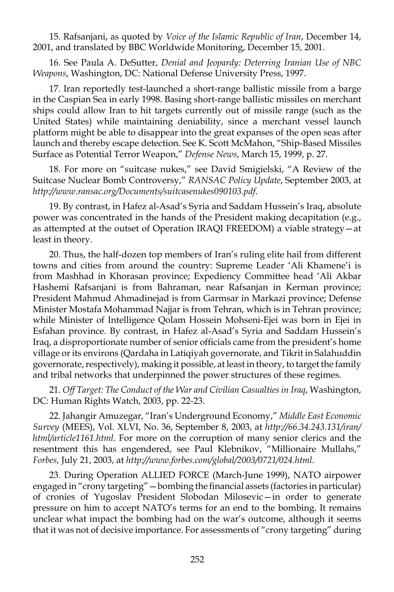15. Rafsanjani, as quoted by *Voice of the Islamic Republic of Iran*, December 14, 2001, and translated by BBC Worldwide Monitoring, December 15, 2001.

 16. See Paula A. DeSutter, *Denial and Jeopardy: Deterring Iranian Use of NBC Weapons*, Washington, DC: National Defense University Press, 1997.

 17. Iran reportedly test-launched a short-range ballistic missile from a barge in the Caspian Sea in early 1998. Basing short-range ballistic missiles on merchant ships could allow Iran to hit targets currently out of missile range (such as the United States) while maintaining deniability, since a merchant vessel launch platform might be able to disappear into the great expanses of the open seas after launch and thereby escape detection. See K. Scott McMahon, "Ship-Based Missiles Surface as Potential Terror Weapon," *Defense News*, March 15, 1999, p. 27.

 18. For more on "suitcase nukes," see David Smigielski, "A Review of the Suitcase Nuclear Bomb Controversy," *RANSAC Policy Update*, September 2003, at *http://www.ransac.org/Documents/suitcasenukes090103.pdf*.

 19. By contrast, in Hafez al-Asad's Syria and Saddam Hussein's Iraq, absolute power was concentrated in the hands of the President making decapitation (e.g., as attempted at the outset of Operation IRAQI FREEDOM) a viable strategy—at least in theory.

 20. Thus, the half-dozen top members of Iran's ruling elite hail from different towns and cities from around the country: Supreme Leader 'Ali Khamene'i is from Mashhad in Khorasan province; Expediency Committee head 'Ali Akbar Hashemi Rafsanjani is from Bahraman, near Rafsanjan in Kerman province; President Mahmud Ahmadinejad is from Garmsar in Markazi province; Defense Minister Mostafa Mohammad Najjar is from Tehran, which is in Tehran province; while Minister of Intelligence Qolam Hossein Mohseni-Ejei was born in Ejei in Esfahan province. By contrast, in Hafez al-Asad's Syria and Saddam Hussein's Iraq, a disproportionate number of senior officials came from the president's home village or its environs (Qardaha in Latiqiyah governorate, and Tikrit in Salahuddin governorate, respectively), making it possible, at least in theory, to target the family and tribal networks that underpinned the power structures of these regimes.

 21. *Off Target: The Conduct of the War and Civilian Casualties in Iraq*, Washington, DC: Human Rights Watch, 2003, pp. 22-23.

 22. Jahangir Amuzegar, "Iran's Underground Economy," *Middle East Economic Survey* (MEES), Vol. XLVI, No. 36, September 8, 2003, at *http://66.34.243.131/iran/ html/article1161.html*. For more on the corruption of many senior clerics and the resentment this has engendered, see Paul Klebnikov, "Millionaire Mullahs," *Forbes*, July 21, 2003, at *http://www.forbes.com/global/2003/0721/024.html*.

 23. During Operation ALLIED FORCE (March-June 1999), NATO airpower engaged in "crony targeting"—bombing the financial assets (factories in particular) of cronies of Yugoslav President Slobodan Milosevic—in order to generate pressure on him to accept NATO's terms for an end to the bombing. It remains unclear what impact the bombing had on the war's outcome, although it seems that it was not of decisive importance. For assessments of "crony targeting" during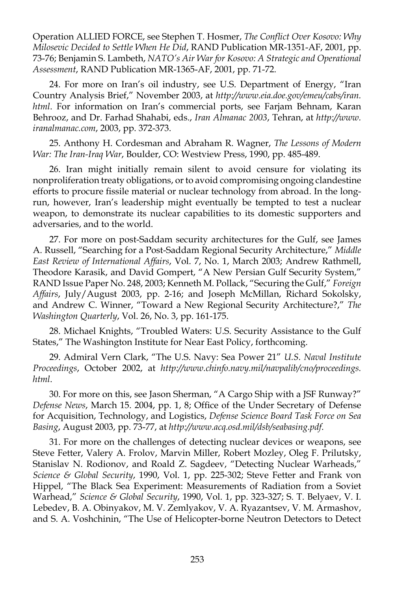Operation ALLIED FORCE, see Stephen T. Hosmer, *The Conflict Over Kosovo: Why Milosevic Decided to Settle When He Did*, RAND Publication MR-1351-AF, 2001, pp. 73-76; Benjamin S. Lambeth, *NATO's Air War for Kosovo: A Strategic and Operational Assessment*, RAND Publication MR-1365-AF, 2001, pp. 71-72.

 24. For more on Iran's oil industry, see U.S. Department of Energy, "Iran Country Analysis Brief," November 2003, at *http://www.eia.doe.gov/emeu/cabs/iran. html*. For information on Iran's commercial ports, see Farjam Behnam, Karan Behrooz, and Dr. Farhad Shahabi, eds., *Iran Almanac 2003*, Tehran, at *http://www. iranalmanac.com*, 2003, pp. 372-373.

 25. Anthony H. Cordesman and Abraham R. Wagner, *The Lessons of Modern War: The Iran-Iraq War*, Boulder, CO: Westview Press, 1990, pp. 485-489.

 26. Iran might initially remain silent to avoid censure for violating its nonproliferation treaty obligations, or to avoid compromising ongoing clandestine efforts to procure fissile material or nuclear technology from abroad. In the longrun, however, Iran's leadership might eventually be tempted to test a nuclear weapon, to demonstrate its nuclear capabilities to its domestic supporters and adversaries, and to the world.

 27. For more on post-Saddam security architectures for the Gulf, see James A. Russell, "Searching for a Post-Saddam Regional Security Architecture," *Middle East Review of International Affairs*, Vol. 7, No. 1, March 2003; Andrew Rathmell, Theodore Karasik, and David Gompert, "A New Persian Gulf Security System," RAND Issue Paper No. 248, 2003; Kenneth M. Pollack, "Securing the Gulf," *Foreign Affairs*, July/August 2003, pp. 2-16; and Joseph McMillan, Richard Sokolsky, and Andrew C. Winner, "Toward a New Regional Security Architecture?," *The Washington Quarterly*, Vol. 26, No. 3, pp. 161-175.

 28. Michael Knights, "Troubled Waters: U.S. Security Assistance to the Gulf States," The Washington Institute for Near East Policy, forthcoming.

 29. Admiral Vern Clark, "The U.S. Navy: Sea Power 21" *U.S. Naval Institute Proceedings*, October 2002, at *http://www.chinfo.navy.mil/navpalib/cno/proceedings. html*.

 30. For more on this, see Jason Sherman, "A Cargo Ship with a JSF Runway?" *Defense News*, March 15. 2004, pp. 1, 8; Office of the Under Secretary of Defense for Acquisition, Technology, and Logistics, *Defense Science Board Task Force on Sea Basing*, August 2003, pp. 73-77, at *http://www.acq.osd.mil/dsb/seabasing.pdf*.

 31. For more on the challenges of detecting nuclear devices or weapons, see Steve Fetter, Valery A. Frolov, Marvin Miller, Robert Mozley, Oleg F. Prilutsky, Stanislav N. Rodionov, and Roald Z. Sagdeev, "Detecting Nuclear Warheads," *Science & Global Security*, 1990, Vol. 1, pp. 225-302; Steve Fetter and Frank von Hippel, "The Black Sea Experiment: Measurements of Radiation from a Soviet Warhead," *Science & Global Security*, 1990, Vol. 1, pp. 323-327; S. T. Belyaev, V. I. Lebedev, B. A. Obinyakov, M. V. Zemlyakov, V. A. Ryazantsev, V. M. Armashov, and S. A. Voshchinin, "The Use of Helicopter-borne Neutron Detectors to Detect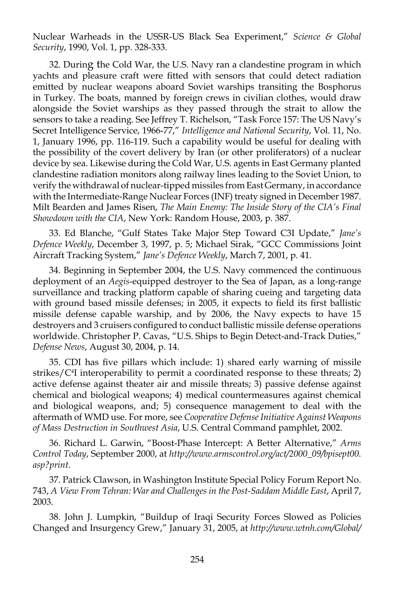Nuclear Warheads in the USSR-US Black Sea Experiment," *Science & Global Security*, 1990, Vol. 1, pp. 328-333.

 32. During the Cold War, the U.S. Navy ran a clandestine program in which yachts and pleasure craft were fitted with sensors that could detect radiation emitted by nuclear weapons aboard Soviet warships transiting the Bosphorus in Turkey. The boats, manned by foreign crews in civilian clothes, would draw alongside the Soviet warships as they passed through the strait to allow the sensors to take a reading. See Jeffrey T. Richelson, "Task Force 157: The US Navy's Secret Intelligence Service, 1966-77," *Intelligence and National Security*, Vol. 11, No. 1, January 1996, pp. 116-119. Such a capability would be useful for dealing with the possibility of the covert delivery by Iran (or other proliferators) of a nuclear device by sea. Likewise during the Cold War, U.S. agents in East Germany planted clandestine radiation monitors along railway lines leading to the Soviet Union, to verify the withdrawal of nuclear-tipped missiles from East Germany, in accordance with the Intermediate-Range Nuclear Forces (INF) treaty signed in December 1987. Milt Bearden and James Risen, *The Main Enemy: The Inside Story of the CIA's Final Showdown with the CIA*, New York: Random House, 2003, p. 387.

 33. Ed Blanche, "Gulf States Take Major Step Toward C3I Update," *Jane's Defence Weekly*, December 3, 1997, p. 5; Michael Sirak, "GCC Commissions Joint Aircraft Tracking System," *Jane's Defence Weekly*, March 7, 2001, p. 41.

 34. Beginning in September 2004, the U.S. Navy commenced the continuous deployment of an *Aegis*-equipped destroyer to the Sea of Japan, as a long-range surveillance and tracking platform capable of sharing cueing and targeting data with ground based missile defenses; in 2005, it expects to field its first ballistic missile defense capable warship, and by 2006, the Navy expects to have 15 destroyers and 3 cruisers configured to conduct ballistic missile defense operations worldwide. Christopher P. Cavas, "U.S. Ships to Begin Detect-and-Track Duties," *Defense News*, August 30, 2004, p. 14.

 35. CDI has five pillars which include: 1) shared early warning of missile strikes/C<sup>4</sup>I interoperability to permit a coordinated response to these threats; 2) active defense against theater air and missile threats; 3) passive defense against chemical and biological weapons; 4) medical countermeasures against chemical and biological weapons, and; 5) consequence management to deal with the aftermath of WMD use. For more, see *Cooperative Defense Initiative Against Weapons of Mass Destruction in Southwest Asia*, U.S. Central Command pamphlet, 2002.

 36. Richard L. Garwin, "Boost-Phase Intercept: A Better Alternative," *Arms Control Today*, September 2000, at *http://www.armscontrol.org/act/2000\_09/bpisept00. asp?print*.

 37. Patrick Clawson, in Washington Institute Special Policy Forum Report No. 743, *A View From Tehran: War and Challenges in the Post-Saddam Middle East*, April 7, 2003.

 38. John J. Lumpkin, "Buildup of Iraqi Security Forces Slowed as Policies Changed and Insurgency Grew," January 31, 2005, at *http://www.wtnh.com/Global/*